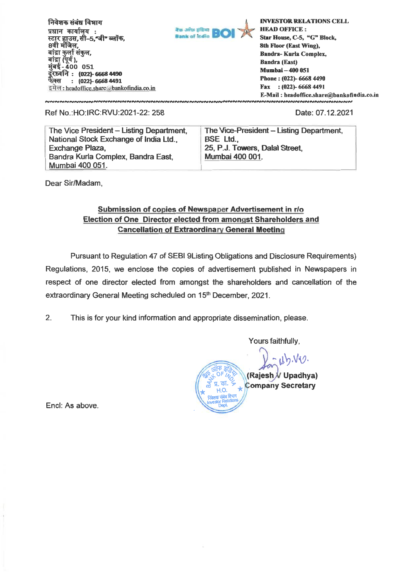**निवे**शक संबंध विभाग **प्रधान कार्यालय : स्टार हाउस, सी-5,"जी" ब्लॉक,** 8वी मंजिल, बांद्रा कुर्ला संकुल, **114-400**<br>बांद्रा (पूर्व ),<br>मुंबई - 400 051 **: (022)- 6668 4490 : (022)- 6668 4491 44 M :** headoffice.share *a* bankofindiaco.in



**NNNNNNNNNNNN** 

**INVESTOR RELATIONS CELL HEAD OFFICE : Star House, C-5, "G" Block, 8th Floor (East Wing), Bandra- Kurla Complex, Bandra (East) Mumbai - 400 051 Phone : (022)- 6668 4490 Fax : (022)- 6668 4491 E-Mail : headoffice.sharebankofindia.co.in** 

#### <u>เผมผมผมผมผมผมผมผมผมผมผมผม</u> **Ref No.:HO:IRC:RVU:2021-22: 258 Date: 07.12.2021**

The Vice President - Listing Department. **National Stock Exchange of India Ltd., Exchange Plaza, Bandra Kuria Complex, Bandra East, Mumbai 400 051.** 

**The Vice-President - Listing Department, BSE Ltd.,**  25, P.J. Towers, Dalal Street, **Mumbai 400 001.** 

**Dear Sir/Madam,** 

### **Submission of copies of Newspaper Advertisement in r/o Election of One Director elected from amongst Shareholders and Cancellation of Extraordinary General Meeting**

Pursuant to Regulation 47 of SEBI 9Listing Obligations and Disclosure Requirements) Regulations, 2015, we enclose the copies of advertisement published in Newspapers in respect of one director elected from amongst the shareholders and cancellation of the extraordinary General Meeting scheduled on 15<sup>th</sup> December, 2021.

2. This is for your kind information and appropriate dissemination, please.

**Yours faithfully,** 

 $d_{\mathcal{D}}\mathcal{N} \mathcal{O}_{\mathcal{D}}$ **(Rajesh / Upadhya) \*1 y.** ም<br>. . . . **10. - Company Secretary**   $\frac{1}{\sqrt{2}}$ **DePt 411R1 Vt51 :)/** Investor **Relattons** 

Encl: As above.